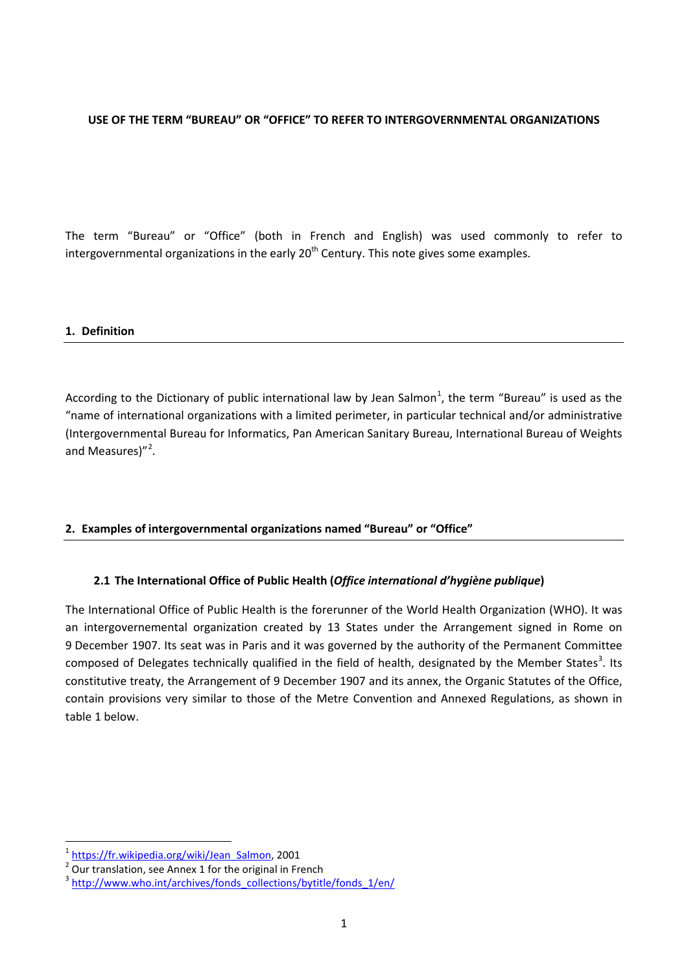#### **USE OF THE TERM "BUREAU" OR "OFFICE" TO REFER TO INTERGOVERNMENTAL ORGANIZATIONS**

The term "Bureau" or "Office" (both in French and English) was used commonly to refer to intergovernmental organizations in the early  $20<sup>th</sup>$  Century. This note gives some examples.

#### **1. Definition**

According to the Dictionary of public international law by Jean Salmon<sup>[1](#page-0-0)</sup>, the term "Bureau" is used as the "name of international organizations with a limited perimeter, in particular technical and/or administrative (Intergovernmental Bureau for Informatics, Pan American Sanitary Bureau, International Bureau of Weights and Measures)"<sup>[2](#page-0-1)</sup>.

#### **2. Examples of intergovernmental organizations named "Bureau" or "Office"**

### **2.1 The International Office of Public Health (***Office international d'hygiène publique***)**

The International Office of Public Health is the forerunner of the World Health Organization (WHO). It was an intergovernemental organization created by 13 States under the Arrangement signed in Rome on 9 December 1907. Its seat was in Paris and it was governed by the authority of the Permanent Committee composed of Delegates technically qualified in the field of health, designated by the Member States<sup>[3](#page-0-2)</sup>. Its constitutive treaty, the Arrangement of 9 December 1907 and its annex, the Organic Statutes of the Office, contain provisions very similar to those of the Metre Convention and Annexed Regulations, as shown in table 1 below.

<span id="page-0-0"></span> $\frac{1}{2}$  [https://fr.wikipedia.org/wiki/Jean\\_Salmon,](https://fr.wikipedia.org/wiki/Jean_Salmon) 2001<br>
<sup>2</sup> Our translation, see Annex 1 for the original in French

<span id="page-0-2"></span><span id="page-0-1"></span><sup>&</sup>lt;sup>3</sup> [http://www.who.int/archives/fonds\\_collections/bytitle/fonds\\_1/en/](http://www.who.int/archives/fonds_collections/bytitle/fonds_1/en/)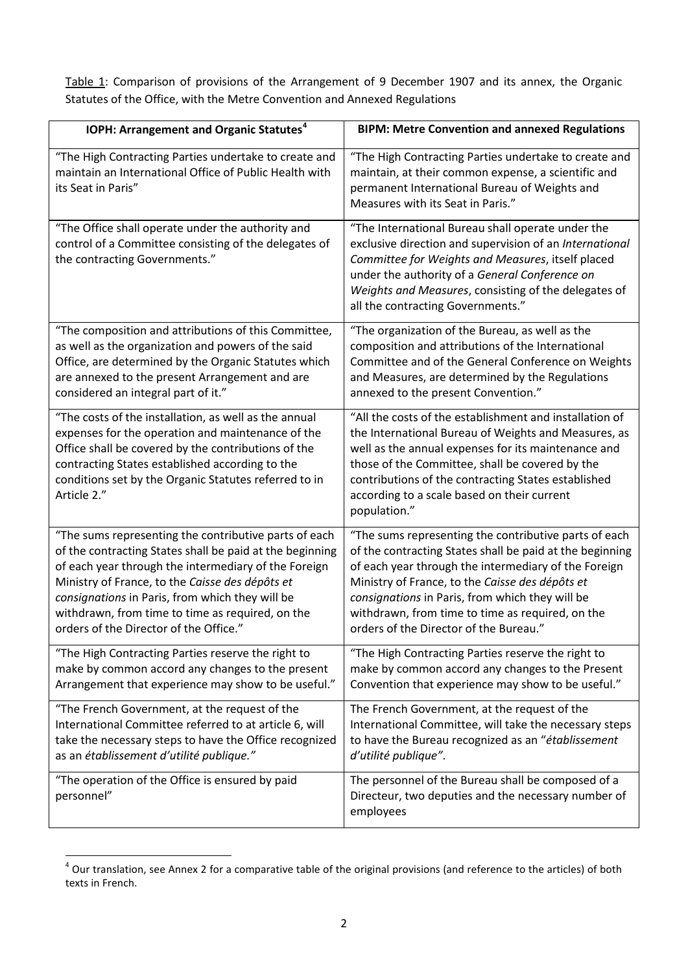Table 1: Comparison of provisions of the Arrangement of 9 December 1907 and its annex, the Organic Statutes of the Office, with the Metre Convention and Annexed Regulations

| IOPH: Arrangement and Organic Statutes <sup>4</sup>                                                                                                                                                                                                                                                                                                                           | <b>BIPM: Metre Convention and annexed Regulations</b>                                                                                                                                                                                                                                                                                                                         |
|-------------------------------------------------------------------------------------------------------------------------------------------------------------------------------------------------------------------------------------------------------------------------------------------------------------------------------------------------------------------------------|-------------------------------------------------------------------------------------------------------------------------------------------------------------------------------------------------------------------------------------------------------------------------------------------------------------------------------------------------------------------------------|
| "The High Contracting Parties undertake to create and<br>maintain an International Office of Public Health with<br>its Seat in Paris"                                                                                                                                                                                                                                         | "The High Contracting Parties undertake to create and<br>maintain, at their common expense, a scientific and<br>permanent International Bureau of Weights and<br>Measures with its Seat in Paris."                                                                                                                                                                            |
| "The Office shall operate under the authority and<br>control of a Committee consisting of the delegates of<br>the contracting Governments."                                                                                                                                                                                                                                   | "The International Bureau shall operate under the<br>exclusive direction and supervision of an International<br>Committee for Weights and Measures, itself placed<br>under the authority of a General Conference on<br>Weights and Measures, consisting of the delegates of<br>all the contracting Governments."                                                              |
| "The composition and attributions of this Committee,<br>as well as the organization and powers of the said<br>Office, are determined by the Organic Statutes which<br>are annexed to the present Arrangement and are<br>considered an integral part of it."                                                                                                                   | "The organization of the Bureau, as well as the<br>composition and attributions of the International<br>Committee and of the General Conference on Weights<br>and Measures, are determined by the Regulations<br>annexed to the present Convention."                                                                                                                          |
| "The costs of the installation, as well as the annual<br>expenses for the operation and maintenance of the<br>Office shall be covered by the contributions of the<br>contracting States established according to the<br>conditions set by the Organic Statutes referred to in<br>Article 2."                                                                                  | "All the costs of the establishment and installation of<br>the International Bureau of Weights and Measures, as<br>well as the annual expenses for its maintenance and<br>those of the Committee, shall be covered by the<br>contributions of the contracting States established<br>according to a scale based on their current<br>population."                               |
| "The sums representing the contributive parts of each<br>of the contracting States shall be paid at the beginning<br>of each year through the intermediary of the Foreign<br>Ministry of France, to the Caisse des dépôts et<br>consignations in Paris, from which they will be<br>withdrawn, from time to time as required, on the<br>orders of the Director of the Office." | "The sums representing the contributive parts of each<br>of the contracting States shall be paid at the beginning<br>of each year through the intermediary of the Foreign<br>Ministry of France, to the Caisse des dépôts et<br>consignations in Paris, from which they will be<br>withdrawn, from time to time as required, on the<br>orders of the Director of the Bureau." |
| "The High Contracting Parties reserve the right to<br>make by common accord any changes to the present<br>Arrangement that experience may show to be useful."                                                                                                                                                                                                                 | "The High Contracting Parties reserve the right to<br>make by common accord any changes to the Present<br>Convention that experience may show to be useful."                                                                                                                                                                                                                  |
| "The French Government, at the request of the<br>International Committee referred to at article 6, will<br>take the necessary steps to have the Office recognized<br>as an établissement d'utilité publique."                                                                                                                                                                 | The French Government, at the request of the<br>International Committee, will take the necessary steps<br>to have the Bureau recognized as an "établissement<br>d'utilité publique".                                                                                                                                                                                          |
| "The operation of the Office is ensured by paid<br>personnel"                                                                                                                                                                                                                                                                                                                 | The personnel of the Bureau shall be composed of a<br>Directeur, two deputies and the necessary number of<br>employees                                                                                                                                                                                                                                                        |

<span id="page-1-0"></span> $4$  Our translation, see Annex 2 for a comparative table of the original provisions (and reference to the articles) of both texts in French.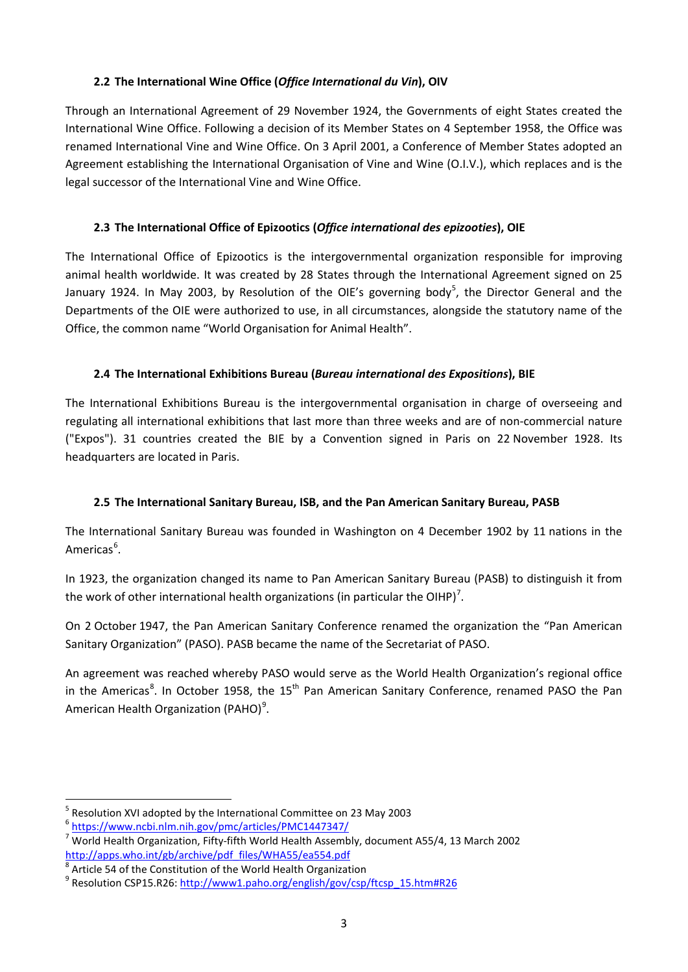### **2.2 The International Wine Office (***Office International du Vin***), OIV**

Through an International Agreement of 29 November 1924, the Governments of eight States created the International Wine Office. Following a decision of its Member States on 4 September 1958, the Office was renamed International Vine and Wine Office. On 3 April 2001, a Conference of Member States adopted an Agreement establishing the International Organisation of Vine and Wine (O.I.V.), which replaces and is the legal successor of the International Vine and Wine Office.

## **2.3 The International Office of Epizootics (***Office international des epizooties***), OIE**

The International Office of Epizootics is the intergovernmental organization responsible for improving animal health worldwide. It was created by 28 States through the International Agreement signed on 25 January 1924. In May 2003, by Resolution of the OIE's governing body<sup>[5](#page-2-0)</sup>, the Director General and the Departments of the OIE were authorized to use, in all circumstances, alongside the statutory name of the Office, the common name "World Organisation for Animal Health".

### **2.4 The International Exhibitions Bureau (***Bureau international des Expositions***), BIE**

The International Exhibitions Bureau is the intergovernmental organisation in charge of overseeing and regulating all international exhibitions that last more than three weeks and are of non-commercial nature ("Expos"). 31 countries created the BIE by a Convention signed in Paris on 22 November 1928. Its headquarters are located in Paris.

# **2.5 The International Sanitary Bureau, ISB, and the Pan American Sanitary Bureau, PASB**

The International Sanitary Bureau was founded in Washington on 4 December 1902 by 11 nations in the Americas<sup>[6](#page-2-1)</sup>.

In 1923, the organization changed its name to Pan American Sanitary Bureau (PASB) to distinguish it from the work of other international health organizations (in particular the OIHP)<sup>[7](#page-2-2)</sup>.

On 2 October 1947, the Pan American Sanitary Conference renamed the organization the "Pan American Sanitary Organization" (PASO). PASB became the name of the Secretariat of PASO.

An agreement was reached whereby PASO would serve as the World Health Organization's regional office in the Americas<sup>[8](#page-2-3)</sup>. In October 1958, the 15<sup>th</sup> Pan American Sanitary Conference, renamed PASO the Pan American Health Organization (PAHO)<sup>[9](#page-2-4)</sup>.

<span id="page-2-1"></span>

<span id="page-2-0"></span><sup>&</sup>lt;sup>5</sup> Resolution XVI adopted by the International Committee on 23 May 2003 6 <https://www.ncbi.nlm.nih.gov/pmc/articles/PMC1447347/>

<span id="page-2-2"></span> $\sqrt{7}$  World Health Organization, Fifty-fifth World Health Assembly, document A55/4, 13 March 2002 [http://apps.who.int/gb/archive/pdf\\_files/WHA55/ea554.pdf](http://apps.who.int/gb/archive/pdf_files/WHA55/ea554.pdf)

<span id="page-2-3"></span>Article 54 of the Constitution of the World Health Organization

<span id="page-2-4"></span><sup>&</sup>lt;sup>9</sup> Resolution CSP15.R26: [http://www1.paho.org/english/gov/csp/ftcsp\\_15.htm#R26](http://www1.paho.org/english/gov/csp/ftcsp_15.htm#R26)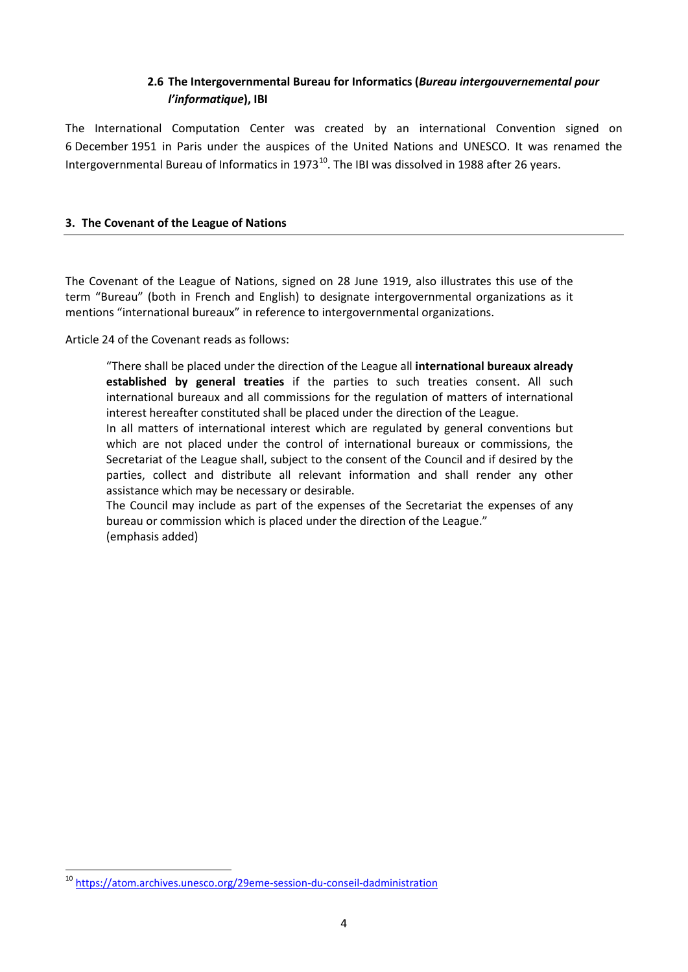# **2.6 The Intergovernmental Bureau for Informatics (***Bureau intergouvernemental pour l'informatique***), IBI**

The International Computation Center was created by an international Convention signed on 6 December 1951 in Paris under the auspices of the United Nations and UNESCO. It was renamed the Intergovernmental Bureau of Informatics in 1973 $^{10}$  $^{10}$  $^{10}$ . The IBI was dissolved in 1988 after 26 years.

#### **3. The Covenant of the League of Nations**

The Covenant of the League of Nations, signed on 28 June 1919, also illustrates this use of the term "Bureau" (both in French and English) to designate intergovernmental organizations as it mentions "international bureaux" in reference to intergovernmental organizations.

Article 24 of the Covenant reads as follows:

"There shall be placed under the direction of the League all **international bureaux already established by general treaties** if the parties to such treaties consent. All such international bureaux and all commissions for the regulation of matters of international interest hereafter constituted shall be placed under the direction of the League.

In all matters of international interest which are regulated by general conventions but which are not placed under the control of international bureaux or commissions, the Secretariat of the League shall, subject to the consent of the Council and if desired by the parties, collect and distribute all relevant information and shall render any other assistance which may be necessary or desirable.

The Council may include as part of the expenses of the Secretariat the expenses of any bureau or commission which is placed under the direction of the League." (emphasis added)

<span id="page-3-0"></span> <sup>10</sup> <https://atom.archives.unesco.org/29eme-session-du-conseil-dadministration>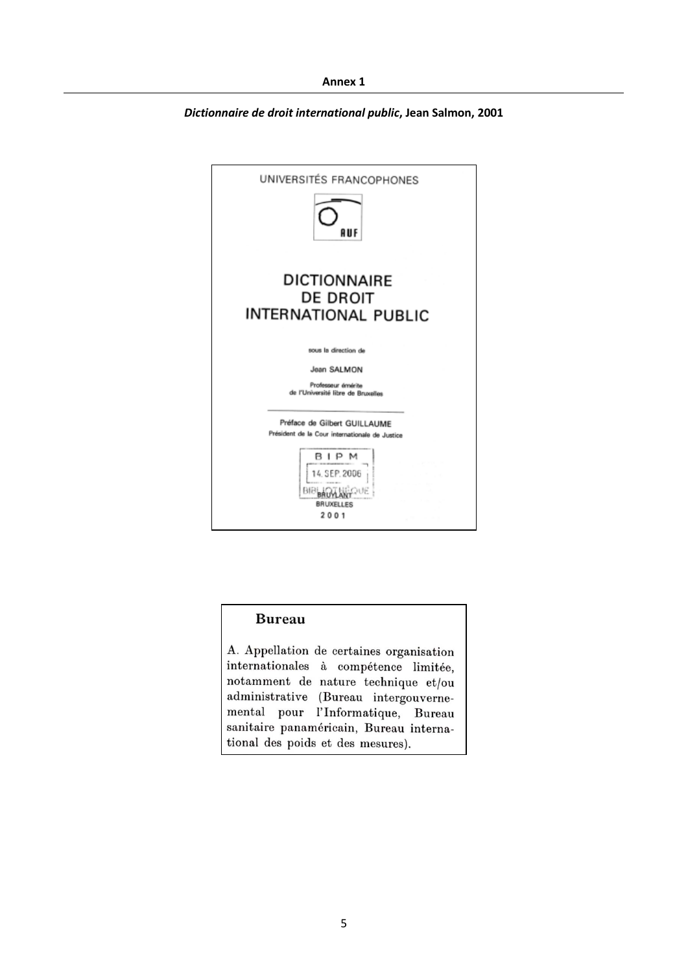*Dictionnaire de droit international public***, Jean Salmon, 2001**



#### **Bureau**

A. Appellation de certaines organisation internationales à compétence limitée, notamment de nature technique et/ou administrative (Bureau intergouvernemental pour l'Informatique, Bureau sanitaire panaméricain, Bureau international des poids et des mesures).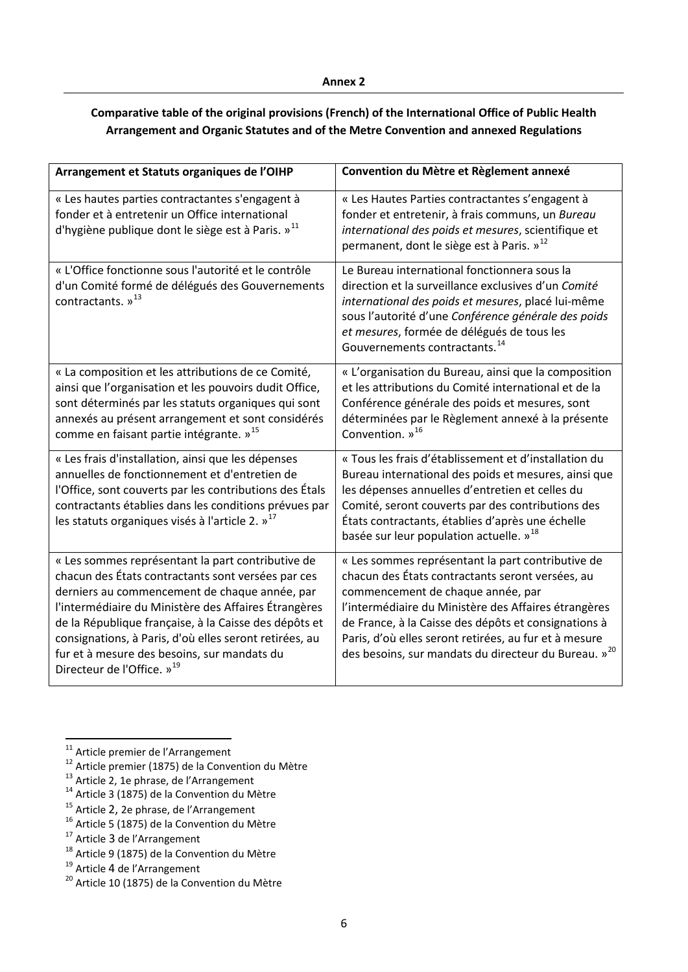# **Comparative table of the original provisions (French) of the International Office of Public Health Arrangement and Organic Statutes and of the Metre Convention and annexed Regulations**

| Arrangement et Statuts organiques de l'OIHP                                                                                                                                                                                                                                                                                                                                                                                  | Convention du Mètre et Règlement annexé                                                                                                                                                                                                                                                                                                                                                 |
|------------------------------------------------------------------------------------------------------------------------------------------------------------------------------------------------------------------------------------------------------------------------------------------------------------------------------------------------------------------------------------------------------------------------------|-----------------------------------------------------------------------------------------------------------------------------------------------------------------------------------------------------------------------------------------------------------------------------------------------------------------------------------------------------------------------------------------|
| « Les hautes parties contractantes s'engagent à<br>fonder et à entretenir un Office international<br>d'hygiène publique dont le siège est à Paris. » <sup>11</sup>                                                                                                                                                                                                                                                           | « Les Hautes Parties contractantes s'engagent à<br>fonder et entretenir, à frais communs, un Bureau<br>international des poids et mesures, scientifique et<br>permanent, dont le siège est à Paris. » <sup>12</sup>                                                                                                                                                                     |
| « L'Office fonctionne sous l'autorité et le contrôle<br>d'un Comité formé de délégués des Gouvernements<br>contractants. » <sup>13</sup>                                                                                                                                                                                                                                                                                     | Le Bureau international fonctionnera sous la<br>direction et la surveillance exclusives d'un Comité<br>international des poids et mesures, placé lui-même<br>sous l'autorité d'une Conférence générale des poids<br>et mesures, formée de délégués de tous les<br>Gouvernements contractants. <sup>14</sup>                                                                             |
| « La composition et les attributions de ce Comité,<br>ainsi que l'organisation et les pouvoirs dudit Office,<br>sont déterminés par les statuts organiques qui sont<br>annexés au présent arrangement et sont considérés<br>comme en faisant partie intégrante. » <sup>15</sup>                                                                                                                                              | « L'organisation du Bureau, ainsi que la composition<br>et les attributions du Comité international et de la<br>Conférence générale des poids et mesures, sont<br>déterminées par le Règlement annexé à la présente<br>Convention. $v^{16}$                                                                                                                                             |
| « Les frais d'installation, ainsi que les dépenses<br>annuelles de fonctionnement et d'entretien de<br>l'Office, sont couverts par les contributions des Étals<br>contractants établies dans les conditions prévues par<br>les statuts organiques visés à l'article 2. » <sup>17</sup>                                                                                                                                       | « Tous les frais d'établissement et d'installation du<br>Bureau international des poids et mesures, ainsi que<br>les dépenses annuelles d'entretien et celles du<br>Comité, seront couverts par des contributions des<br>États contractants, établies d'après une échelle<br>basée sur leur population actuelle. » <sup>18</sup>                                                        |
| « Les sommes représentant la part contributive de<br>chacun des États contractants sont versées par ces<br>derniers au commencement de chaque année, par<br>l'intermédiaire du Ministère des Affaires Étrangères<br>de la République française, à la Caisse des dépôts et<br>consignations, à Paris, d'où elles seront retirées, au<br>fur et à mesure des besoins, sur mandats du<br>Directeur de l'Office. » <sup>19</sup> | « Les sommes représentant la part contributive de<br>chacun des États contractants seront versées, au<br>commencement de chaque année, par<br>l'intermédiaire du Ministère des Affaires étrangères<br>de France, à la Caisse des dépôts et consignations à<br>Paris, d'où elles seront retirées, au fur et à mesure<br>des besoins, sur mandats du directeur du Bureau. » <sup>20</sup> |

- <span id="page-5-5"></span><span id="page-5-4"></span><span id="page-5-3"></span><sup>15</sup> Article 2, 2e phrase, de l'Arrangement <sup>16</sup> Article 5 (1875) de la Convention du Mètre <sup>17</sup> Article 3 de l'Arrangement
- 

<span id="page-5-1"></span><span id="page-5-0"></span><sup>&</sup>lt;sup>11</sup> Article premier de l'Arrangement<br><sup>12</sup> Article premier (1875) de la Convention du Mètre<br><sup>13</sup> Article 2, 1e phrase, de l'Arrangement<br><sup>14</sup> Article 3 (1875) de la Convention du Mètre

<span id="page-5-2"></span>

<span id="page-5-7"></span><span id="page-5-6"></span><sup>&</sup>lt;sup>18</sup> Article 9 (1875) de la Convention du Mètre <sup>19</sup> Article 4 de l'Arrangement

<span id="page-5-9"></span><span id="page-5-8"></span> $19<sup>20</sup>$  Article 10 (1875) de la Convention du Mètre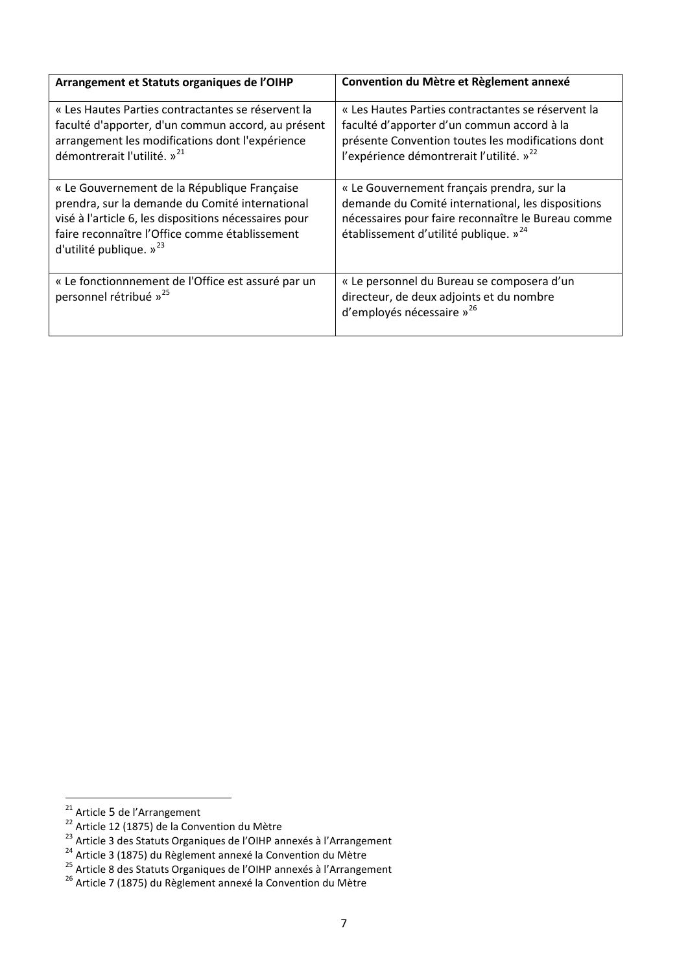| Arrangement et Statuts organiques de l'OIHP                                                                                                                                                                                                | Convention du Mètre et Règlement annexé                                                                                                                                                                       |
|--------------------------------------------------------------------------------------------------------------------------------------------------------------------------------------------------------------------------------------------|---------------------------------------------------------------------------------------------------------------------------------------------------------------------------------------------------------------|
| « Les Hautes Parties contractantes se réservent la<br>faculté d'apporter, d'un commun accord, au présent<br>arrangement les modifications dont l'expérience<br>démontrerait l'utilité. » <sup>21</sup>                                     | « Les Hautes Parties contractantes se réservent la<br>faculté d'apporter d'un commun accord à la<br>présente Convention toutes les modifications dont<br>l'expérience démontrerait l'utilité. » <sup>22</sup> |
| « Le Gouvernement de la République Française<br>prendra, sur la demande du Comité international<br>visé à l'article 6, les dispositions nécessaires pour<br>faire reconnaître l'Office comme établissement<br>d'utilité publique. $v^{23}$ | « Le Gouvernement français prendra, sur la<br>demande du Comité international, les dispositions<br>nécessaires pour faire reconnaître le Bureau comme<br>établissement d'utilité publique. » <sup>24</sup>    |
| « Le fonctionnnement de l'Office est assuré par un<br>personnel rétribué » <sup>25</sup>                                                                                                                                                   | « Le personnel du Bureau se composera d'un<br>directeur, de deux adjoints et du nombre<br>d'employés nécessaire » <sup>26</sup>                                                                               |

<span id="page-6-1"></span>

<span id="page-6-2"></span>

<span id="page-6-4"></span><span id="page-6-3"></span>

<span id="page-6-0"></span><sup>&</sup>lt;sup>21</sup> Article 5 de l'Arrangement<br>
<sup>22</sup> Article 12 (1875) de la Convention du Mètre<br>
<sup>23</sup> Article 3 des Statuts Organiques de l'OIHP annexés à l'Arrangement<br>
<sup>24</sup> Article 3 (1875) du Règlement annexé la Convention du Mètre<br>

<span id="page-6-5"></span>